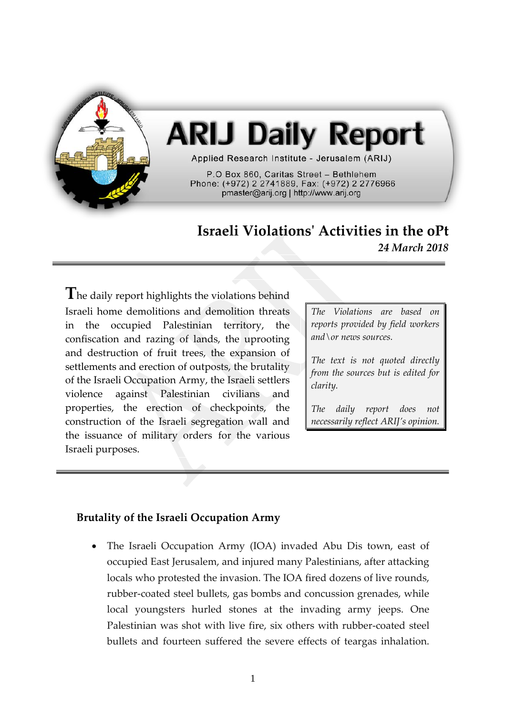

# **ARIJ Daily Report**

Applied Research Institute - Jerusalem (ARIJ)

P.O Box 860, Caritas Street - Bethlehem Phone: (+972) 2 2741889, Fax: (+972) 2 2776966 pmaster@arij.org | http://www.arij.org

## **Israeli Violations' Activities in the oPt** *24 March 2018*

**T**he daily report highlights the violations behind Israeli home demolitions and demolition threats in the occupied Palestinian territory, the confiscation and razing of lands, the uprooting and destruction of fruit trees, the expansion of settlements and erection of outposts, the brutality of the Israeli Occupation Army, the Israeli settlers violence against Palestinian civilians and properties, the erection of checkpoints, the construction of the Israeli segregation wall and the issuance of military orders for the various Israeli purposes.

*The Violations are based on reports provided by field workers and\or news sources.*

*The text is not quoted directly from the sources but is edited for clarity.*

*The daily report does not necessarily reflect ARIJ's opinion.*

### **Brutality of the Israeli Occupation Army**

• The Israeli Occupation Army (IOA) invaded Abu Dis town, east of occupied East Jerusalem, and injured many Palestinians, after attacking locals who protested the invasion. The IOA fired dozens of live rounds, rubber-coated steel bullets, gas bombs and concussion grenades, while local youngsters hurled stones at the invading army jeeps. One Palestinian was shot with live fire, six others with rubber-coated steel bullets and fourteen suffered the severe effects of teargas inhalation.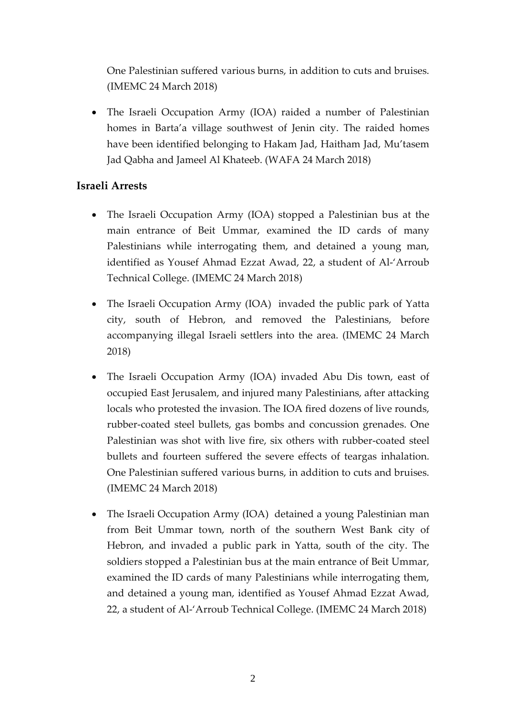One Palestinian suffered various burns, in addition to cuts and bruises. (IMEMC 24 March 2018)

• The Israeli Occupation Army (IOA) raided a number of Palestinian homes in Barta'a village southwest of Jenin city. The raided homes have been identified belonging to Hakam Jad, Haitham Jad, Mu'tasem Jad Qabha and Jameel Al Khateeb. (WAFA 24 March 2018)

### **Israeli Arrests**

- The Israeli Occupation Army (IOA) stopped a Palestinian bus at the main entrance of Beit Ummar, examined the ID cards of many Palestinians while interrogating them, and detained a young man, identified as Yousef Ahmad Ezzat Awad, 22, a student of Al-'Arroub Technical College. (IMEMC 24 March 2018)
- The Israeli Occupation Army (IOA) invaded the public park of Yatta city, south of Hebron, and removed the Palestinians, before accompanying illegal Israeli settlers into the area. (IMEMC 24 March 2018)
- The Israeli Occupation Army (IOA) invaded Abu Dis town, east of occupied East Jerusalem, and injured many Palestinians, after attacking locals who protested the invasion. The IOA fired dozens of live rounds, rubber-coated steel bullets, gas bombs and concussion grenades. One Palestinian was shot with live fire, six others with rubber-coated steel bullets and fourteen suffered the severe effects of teargas inhalation. One Palestinian suffered various burns, in addition to cuts and bruises. (IMEMC 24 March 2018)
- The Israeli Occupation Army (IOA) detained a young Palestinian man from Beit Ummar town, north of the southern West Bank city of Hebron, and invaded a public park in Yatta, south of the city. The soldiers stopped a Palestinian bus at the main entrance of Beit Ummar, examined the ID cards of many Palestinians while interrogating them, and detained a young man, identified as Yousef Ahmad Ezzat Awad, 22, a student of Al-'Arroub Technical College. (IMEMC 24 March 2018)